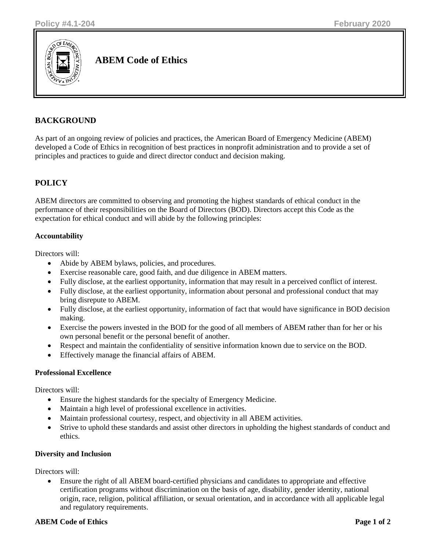

**ABEM Code of Ethics**

# **BACKGROUND**

As part of an ongoing review of policies and practices, the American Board of Emergency Medicine (ABEM) developed a Code of Ethics in recognition of best practices in nonprofit administration and to provide a set of principles and practices to guide and direct director conduct and decision making.

## **POLICY**

ABEM directors are committed to observing and promoting the highest standards of ethical conduct in the performance of their responsibilities on the Board of Directors (BOD). Directors accept this Code as the expectation for ethical conduct and will abide by the following principles:

### **Accountability**

Directors will:

- Abide by ABEM bylaws, policies, and procedures.
- Exercise reasonable care, good faith, and due diligence in ABEM matters.
- Fully disclose, at the earliest opportunity, information that may result in a perceived conflict of interest.
- Fully disclose, at the earliest opportunity, information about personal and professional conduct that may bring disrepute to ABEM.
- Fully disclose, at the earliest opportunity, information of fact that would have significance in BOD decision making.
- Exercise the powers invested in the BOD for the good of all members of ABEM rather than for her or his own personal benefit or the personal benefit of another.
- Respect and maintain the confidentiality of sensitive information known due to service on the BOD.
- Effectively manage the financial affairs of ABEM.

#### **Professional Excellence**

Directors will:

- Ensure the highest standards for the specialty of Emergency Medicine.
- Maintain a high level of professional excellence in activities.
- Maintain professional courtesy, respect, and objectivity in all ABEM activities.
- Strive to uphold these standards and assist other directors in upholding the highest standards of conduct and ethics.

#### **Diversity and Inclusion**

Directors will:

• Ensure the right of all ABEM board-certified physicians and candidates to appropriate and effective certification programs without discrimination on the basis of age, disability, gender identity, national origin, race, religion, political affiliation, or sexual orientation, and in accordance with all applicable legal and regulatory requirements.

#### **ABEM** Code of Ethics **Page 1** of 2